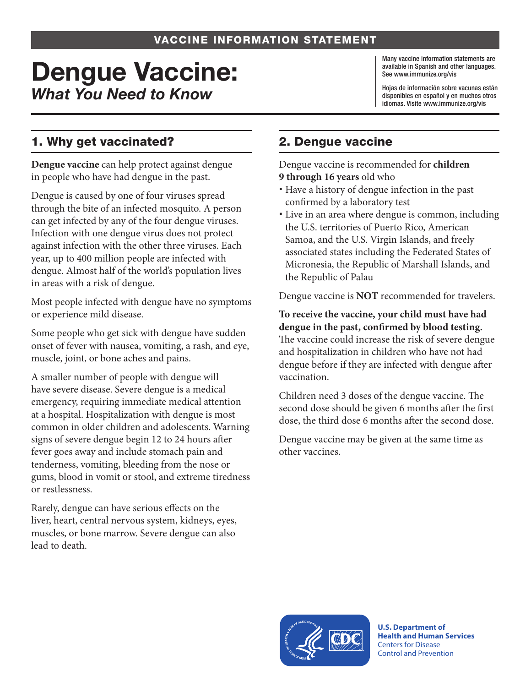#### VACCINE INFORMATION STATEMENT

# Dengue Vaccine: *What You Need to Know*

Many vaccine information statements are available in Spanish and other languages. See [www.immunize.org/vis](http://www.immunize.org/vis)

Hojas de información sobre vacunas están disponibles en español y en muchos otros idiomas. Visite [www.immunize.org/vis](http://www.immunize.org/vis)

## 1. Why get vaccinated?

**Dengue vaccine** can help protect against dengue in people who have had dengue in the past.

Dengue is caused by one of four viruses spread through the bite of an infected mosquito. A person can get infected by any of the four dengue viruses. Infection with one dengue virus does not protect against infection with the other three viruses. Each year, up to 400 million people are infected with dengue. Almost half of the world's population lives in areas with a risk of dengue.

Most people infected with dengue have no symptoms or experience mild disease.

Some people who get sick with dengue have sudden onset of fever with nausea, vomiting, a rash, and eye, muscle, joint, or bone aches and pains.

A smaller number of people with dengue will have severe disease. Severe dengue is a medical emergency, requiring immediate medical attention at a hospital. Hospitalization with dengue is most common in older children and adolescents. Warning signs of severe dengue begin 12 to 24 hours after fever goes away and include stomach pain and tenderness, vomiting, bleeding from the nose or gums, blood in vomit or stool, and extreme tiredness or restlessness.

Rarely, dengue can have serious effects on the liver, heart, central nervous system, kidneys, eyes, muscles, or bone marrow. Severe dengue can also lead to death.

### 2. Dengue vaccine

Dengue vaccine is recommended for **children 9 through 16 years** old who

- Have a history of dengue infection in the past confirmed by a laboratory test
- Live in an area where dengue is common, including the U.S. territories of Puerto Rico, American Samoa, and the U.S. Virgin Islands, and freely associated states including the Federated States of Micronesia, the Republic of Marshall Islands, and the Republic of Palau

Dengue vaccine is **NOT** recommended for travelers.

**To receive the vaccine, your child must have had dengue in the past, confirmed by blood testing.**  The vaccine could increase the risk of severe dengue and hospitalization in children who have not had dengue before if they are infected with dengue after vaccination.

Children need 3 doses of the dengue vaccine. The second dose should be given 6 months after the first dose, the third dose 6 months after the second dose.

Dengue vaccine may be given at the same time as other vaccines.



**U.S. Department of Health and Human Services**  Centers for Disease Control and Prevention